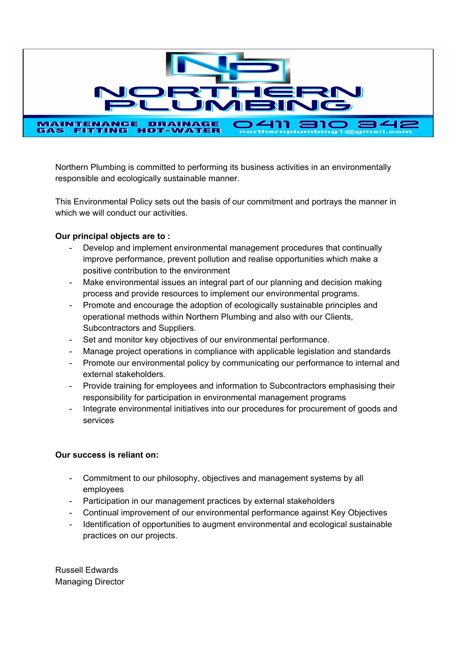

Northern Plumbing is committed to performing its business activities in an environmentally responsible and ecologically sustainable manner.

This Environmental Policy sets out the basis of our commitment and portrays the manner in which we will conduct our activities.

## **Our principal objects are to :**

- Develop and implement environmental management procedures that continually improve performance, prevent pollution and realise opportunities which make a positive contribution to the environment
- Make environmental issues an integral part of our planning and decision making process and provide resources to implement our environmental programs.
- Promote and encourage the adoption of ecologically sustainable principles and operational methods within Northern Plumbing and also with our Clients, Subcontractors and Suppliers.
- Set and monitor key objectives of our environmental performance.
- Manage project operations in compliance with applicable legislation and standards
- Promote our environmental policy by communicating our performance to internal and external stakeholders.
- Provide training for employees and information to Subcontractors emphasising their responsibility for participation in environmental management programs
- Integrate environmental initiatives into our procedures for procurement of goods and services

## **Our success is reliant on:**

- Commitment to our philosophy, objectives and management systems by all employees
- Participation in our management practices by external stakeholders
- Continual improvement of our environmental performance against Key Objectives
- Identification of opportunities to augment environmental and ecological sustainable practices on our projects.

Russell Edwards Managing Director